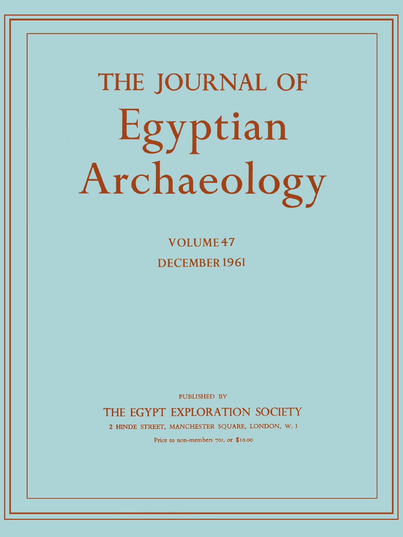# **THE JOURNAL OF**  Egyptian Archaeology

**VOLUME47 DECEMBER 1961** 

PUBLISHED BY

THE EGYPT EXPLORATION SOCIETY

2 HINDE STREET, MANCHESTER SQUARE, LONDON, W. 1

Price to non-members 70s. or \$10.00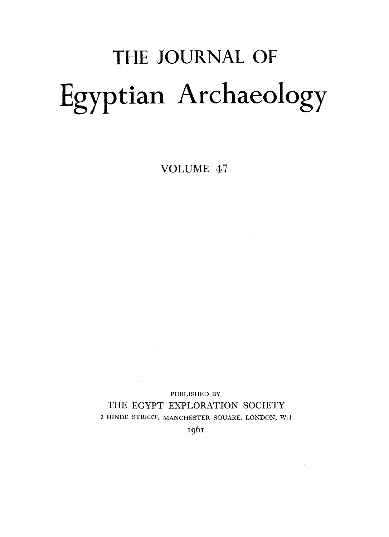# THE JOURNAL OF Egyptian Archaeology

VOLUME 47

PUBLISHED BY THE EGYPT EXPLORATION SOCIETY 2 HINDE STREET, MANCHESTER SQUARE, LONDON, W.l

I961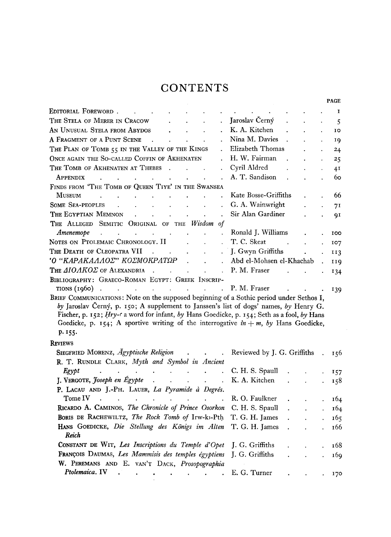### **CONTENTS**

|                                                                                                                                                                                                                                                                                                                                                                                      |        |                                                                                       |                            |                           |                             |               |  | <b>PAGE</b>            |
|--------------------------------------------------------------------------------------------------------------------------------------------------------------------------------------------------------------------------------------------------------------------------------------------------------------------------------------------------------------------------------------|--------|---------------------------------------------------------------------------------------|----------------------------|---------------------------|-----------------------------|---------------|--|------------------------|
| EDITORIAL FOREWORD.                                                                                                                                                                                                                                                                                                                                                                  |        |                                                                                       |                            |                           |                             |               |  | 1                      |
| THE STELA OF MERER IN CRACOW                                                                                                                                                                                                                                                                                                                                                         |        |                                                                                       |                            |                           | Jaroslav Černý              |               |  | 5                      |
| AN UNUSUAL STELA FROM ABYDOS                                                                                                                                                                                                                                                                                                                                                         |        |                                                                                       |                            |                           | K. A. Kitchen               |               |  | $\mathbf{I}\mathbf{O}$ |
| A FRAGMENT OF A PUNT SCENE                                                                                                                                                                                                                                                                                                                                                           |        |                                                                                       |                            |                           | Nina M. Davies              |               |  | 19                     |
| THE PLAN OF TOMB 55 IN THE VALLEY OF THE KINGS                                                                                                                                                                                                                                                                                                                                       |        |                                                                                       |                            |                           | Elizabeth Thomas            |               |  | 24                     |
| ONCE AGAIN THE SO-CALLED COFFIN OF AKHENATEN                                                                                                                                                                                                                                                                                                                                         |        |                                                                                       |                            |                           | H. W. Fairman               |               |  | 25                     |
| THE TOMB OF AKHENATEN AT THEBES                                                                                                                                                                                                                                                                                                                                                      | $\sim$ |                                                                                       |                            |                           | Cyril Aldred                |               |  | 41                     |
| APPENDIX                                                                                                                                                                                                                                                                                                                                                                             |        |                                                                                       |                            |                           | A. T. Sandison              |               |  | 60                     |
| FINDS FROM 'THE TOMB OF QUEEN TIYE' IN THE SWANSEA                                                                                                                                                                                                                                                                                                                                   |        |                                                                                       |                            |                           |                             |               |  |                        |
| <b>MUSEUM</b>                                                                                                                                                                                                                                                                                                                                                                        |        |                                                                                       |                            |                           | Kate Bosse-Griffiths        |               |  | 66                     |
| <b>SOME SEA-PEOPLES</b>                                                                                                                                                                                                                                                                                                                                                              |        |                                                                                       |                            |                           | G. A. Wainwright            |               |  | 71                     |
| THE EGYPTIAN MEMNON                                                                                                                                                                                                                                                                                                                                                                  |        | $\mathbf{r} = \mathbf{r}$                                                             | $\ddot{\phantom{0}}$       |                           | Sir Alan Gardiner           |               |  | QI                     |
| THE ALLEGED SEMITIC ORIGINAL OF THE Wisdom of                                                                                                                                                                                                                                                                                                                                        |        |                                                                                       |                            |                           |                             |               |  |                        |
| Amenemope<br>$\ddot{\phantom{a}}$<br>$\ddot{\phantom{0}}$                                                                                                                                                                                                                                                                                                                            |        |                                                                                       |                            | $\ddot{\phantom{0}}$      | Ronald J. Williams          |               |  | 100                    |
| NOTES ON PTOLEMAIC CHRONOLOGY. II                                                                                                                                                                                                                                                                                                                                                    |        |                                                                                       |                            |                           | T. C. Skeat                 | $\sim$ $\sim$ |  | 107                    |
| THE DEATH OF CLEOPATRA VII                                                                                                                                                                                                                                                                                                                                                           |        |                                                                                       |                            |                           | J. Gwyn Griffiths           |               |  | 113                    |
| 'Ο "ΚΑΡΑΚΑΛΛΟΣ" ΚΟΣΜΟΚΡΑΤΩΡ                                                                                                                                                                                                                                                                                                                                                          |        |                                                                                       | $\mathbf{r}$               | $\mathbf{r}$              | Abd el-Mohsen el-Khachab    |               |  | 119                    |
| THE $AIOAKOZ$ of ALEXANDRIA .                                                                                                                                                                                                                                                                                                                                                        |        |                                                                                       |                            | $\mathbb{R}^{\mathbb{Z}}$ | P. M. Fraser                |               |  | 134                    |
| BIBLIOGRAPHY: GRAECO-ROMAN EGYPT: GREEK INSCRIP-                                                                                                                                                                                                                                                                                                                                     |        |                                                                                       |                            |                           |                             |               |  |                        |
| $TIONS (1960)$<br><b>Contractor</b>                                                                                                                                                                                                                                                                                                                                                  |        | and the contract of the                                                               | $\mathcal{L}^{\text{max}}$ | $\sim 10^{-1}$            | P. M. Fraser                |               |  | 139                    |
| BRIEF COMMUNICATIONS: Note on the supposed beginning of a Sothic period under Sethos I,<br>by Jaroslav Černý, p. 150; A supplement to Janssen's list of dogs' names, by Henry G.<br>Fischer, p. 152; Hry-c a word for infant, by Hans Goedicke, p. 154; Seth as a fool, by Hans<br>Goedicke, p. 154; A sportive writing of the interrogative $in + m$ , by Hans Goedicke,<br>p. 155. |        |                                                                                       |                            |                           |                             |               |  |                        |
| <b>REVIEWS</b>                                                                                                                                                                                                                                                                                                                                                                       |        |                                                                                       |                            |                           |                             |               |  |                        |
| SIEGFRIED MORENZ, Ägyptische Religion                                                                                                                                                                                                                                                                                                                                                |        |                                                                                       | <b>Contract Contract</b>   | $\ddot{\phantom{a}}$      | Reviewed by J. G. Griffiths |               |  | 156                    |
| R. T. RUNDLE CLARK, Myth and Symbol in Ancient                                                                                                                                                                                                                                                                                                                                       |        |                                                                                       |                            |                           |                             |               |  |                        |
| Egypt<br>$\ddot{\phantom{a}}$<br><b>All Contract Contracts</b>                                                                                                                                                                                                                                                                                                                       |        | $\mathbf{L}^{\text{max}}$ and $\mathbf{L}^{\text{max}}$ and $\mathbf{L}^{\text{max}}$ | $\ddot{\phantom{a}}$       | $\ddot{\phantom{a}}$      | C. H. S. Spaull             |               |  | 157                    |
| J. VERGOTE, Joseph en Égypte                                                                                                                                                                                                                                                                                                                                                         |        | $\mathcal{L}^{\text{max}}$                                                            |                            |                           | K. A. Kitchen               |               |  | 158                    |
| P. LACAU AND J.-PH. LAUER, La Pyramide à Degrés.                                                                                                                                                                                                                                                                                                                                     |        |                                                                                       |                            |                           |                             |               |  |                        |
| Tome IV<br>$\mathcal{L}^{\text{max}}$                                                                                                                                                                                                                                                                                                                                                |        | <b>Contract Contract Contract Contract</b>                                            |                            | $\sim$                    | R. O. Faulkner              |               |  | 164                    |
| RICARDO A. CAMINOS, The Chronicle of Prince Osorkon                                                                                                                                                                                                                                                                                                                                  |        |                                                                                       |                            |                           | C. H. S. Spaull             |               |  | 164                    |
| BORIS DE RACHEWILTZ, The Rock Tomb of Irw-k3-Pth                                                                                                                                                                                                                                                                                                                                     |        |                                                                                       |                            |                           | T. G. H. James              |               |  | 165                    |
| HANS GOEDICKE, Die Stellung des Königs im Alten                                                                                                                                                                                                                                                                                                                                      |        |                                                                                       |                            |                           | T. G. H. James              |               |  | 166                    |

| This occurring the second as items in the 1. O.II. and $\sim$                |  |  |       |
|------------------------------------------------------------------------------|--|--|-------|
| Reich                                                                        |  |  |       |
| <b>CONSTANT DE WIT, Les Inscriptions du Temple d'Opet</b> J. G. Griffiths .  |  |  | 168   |
| <b>FRANÇOIS DAUMAS, Les Mammisis des temples égyptiens</b> J. G. Griffiths . |  |  | . 169 |
| W. PEREMANS AND E. VAN'T DACK, Prosopographia                                |  |  |       |
| Ptolemaica. IV E. G. Turner 170                                              |  |  |       |

 $\sim$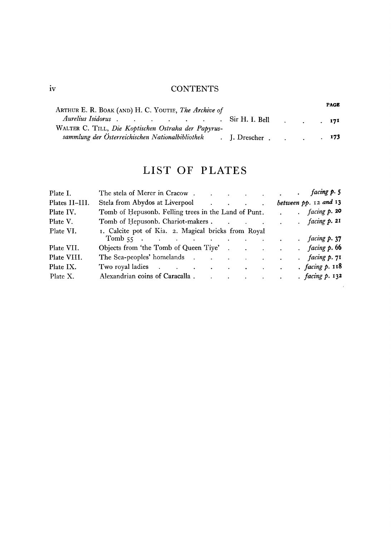#### Iv CONTENTS

| ARTHUR E. R. BOAK (AND) H. C. YOUTIE, The Archive of                                        |  | <b>PAGE</b> |
|---------------------------------------------------------------------------------------------|--|-------------|
| Aurelius Isidorus Sir H. I. Bell 171<br>WALTER C. TILL, Die Koptischen Ostraka der Papyrus- |  |             |
| sammlung der Österreichischen Nationalbibliothek J. Drescher.                               |  | 173         |

## LIST OF PLATES

| Plate I.       | facing p. 5<br>The stela of Merer in Cracow.<br>$\mathcal{L}^{\mathcal{A}}$ . The contract of the contract of the contract of the contract of the contract of the contract of the contract of the contract of the contract of the contract of the contract of the contract of the contrac |
|----------------|-------------------------------------------------------------------------------------------------------------------------------------------------------------------------------------------------------------------------------------------------------------------------------------------|
| Plates II-III. | between pp. 12 and 13<br>Stela from Abydos at Liverpool (Changel Allen Changel Allen Allen Changel Allen Allen Allen Allen Allen Allen A                                                                                                                                                  |
| Plate IV.      | facing p. 20<br>Tomb of Hepusonb. Felling trees in the Land of Punt.                                                                                                                                                                                                                      |
| Plate V.       | . $facing p. 2I$<br>Tomb of Hepusonb. Chariot-makers                                                                                                                                                                                                                                      |
| Plate VI.      | 1. Calcite pot of Kia. 2. Magical bricks from Royal<br>facing p. 37<br>Tomb 55 $\cdot$                                                                                                                                                                                                    |
| Plate VII.     | facing p. 66<br>Objects from 'the Tomb of Queen Tiye'                                                                                                                                                                                                                                     |
| Plate VIII.    | The Sea-peoples' homelands<br>. facing $p.71$                                                                                                                                                                                                                                             |
| Plate IX.      | . facing $p.$ 118<br>Two royal ladies                                                                                                                                                                                                                                                     |
| Plate X.       | . $facing p. 132$<br>Alexandrian coins of Caracalla . The contract of Caracalla . The contract of the contract of the contract of the contract of the contract of the contract of the contract of the contract of the contract of the contract of t                                       |
|                |                                                                                                                                                                                                                                                                                           |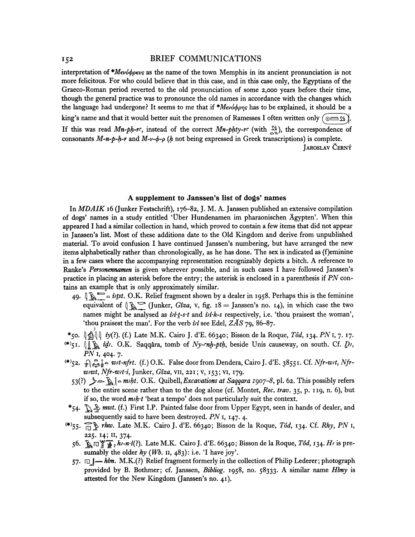#### <sup>152</sup> BRIEF COMMUNICATIONS

interpretation of *\*Mev6<f>p€vs* as the name of the town Memphis in its ancient pronunciation is not more felicitous. For who could believe that in this case, and in this case only, the Egyptians of the Graeco-Roman period reverted to the old pronunciation of some 2,000 years before their time, though the general practice was to pronounce the old names in accordance with the changes which the language had undergone? It seems to me that if *\*M€v6<f>prjs* has to be explained, it should be a king's name and that it would better suit the prenomen of Ramesses I often written only ( $\infty$ "). If this was read *Mn-ph-rc*, instead of the correct *Mn-phty-rc* (with  $\frac{N}{2N}$ ), the correspondence of consonants *M-n-p~h-r* and *M-v~(f>-p (h* not being expressed in Greek transcriptions) is complete. JAROSLAV CERNY

#### **A supplement to Janssen's list of dogs' names**

In *MDAIK* 16 (Junker Festschrift), 176-82, J. M. A. Janssen published an extensive compilation of dogs' names in a study entitled 't)ber Hundenamen im pharaonischen Agypten\ When this appeared I had a similar collection in hand, which proved to contain a few items that did not appear in Janssen's list. Most of these additions date to the Old Kingdom and derive from unpublished material. To avoid confusion I have continued Janssen's numbering, but have arranged the new items alphabetically rather than chronologically, as he has done. The sex is indicated as (f)eminine in a few cases where the accompanying representation recognizably depicts a bitch. A reference to Ranke's *Personennamen* is given wherever possible, and in such cases I have followed Janssen's practice in placing an asterisk before the entry; the asterisk is enclosed in a parenthesis if *PN* contains an example that is only approximately similar.

- 49.  $\oint \mathbb{R}^{\infty} \circ \text{i}t$ st. O.K. Relief fragment shown by a dealer in 1958. Perhaps this is the feminine equivalent of  $\int_{\mathbb{R}} \int_{\mathbb{R}}$  (Junker, *Giza*, v, fig. 18 = Janssen's no. 14), in which case the two names might be analysed as *ii*tt-s<sup>-t</sup> and *ii*th-s respectively, i.e. 'thou praisest the woman', 'thou praisest the man'. For the verb *in* see Edel, *ZAS* 79, 86-87.
- \*50.  $\|\hat{\mathbb{S}}\| \leq i$ y(i). (f.) Late M.K. Cairo J. d'E. 66340; Bisson de la Roque, Tôd, 134. PN 1, 7. 17.
- (#)5i. (Jl ^ *id\*.* O.K. Saqq&ra, tomb of *Ny-mh-pih,* beside Unis causeway, on south. Cf. *D;, PN* 1, 404. 7.
- <\*>52. *-£[£1\* mt-nfrt.* (f.)O.K. False door from Dendera, Cairo J. d'E. 38551. Cf. *Nfr-wtt, Nfrw/wt, Nfr-wrt-s,* Junker, *Giza,* vn, 221; v, 153; vi, 179.
	- 53(0 J^^l^J H *<sup>m</sup>\*ht.* O.K. Quibell,*Excavations at Saqqara 190J-8,* pi. 62. This possibly refers to the entire scene rather than to the dog alone (cf. Montet, *Rec. trav.* 35, p. 119, n. 6), but if so, the word *m<sub>h</sub>*<sup>t</sup> beat a tempo' does not particularly suit the context.
- \*54. It as mwt. (f.) First I.P. Painted false door from Upper Egypt, seen in hands of dealer, and subsequently said to have been destroyed. *PN* 1, 147. 4.
- **(\*)**55.  $\overrightarrow{H}$  **h** *rhw*. Late M.K. Cairo J. d'E. 66340; Bisson de la Roque, *Tôd*, 134. Cf. *Rhy*, *PN* 225. 14; II, 374.
- 56.  $\mathbb{R} \square \mathbb{X} \oplus \mathbb{A}$ , h;-n·i(i). Late M.K. Cairo J. d'E. 66340; Bisson de la Roque, Tôd, 134. H; is presumably the older  $hy (Wb. 11, 483)$ : i.e. 'I have joy'.
- 57.  $\Box$  *waim.* M.K.(?) Relief fragment formerly in the collection of Philip Lederer; photograph provided by B. Bothmer; cf. Janssen, *Bibliog.* 1958, no. 58333. A similar name *Hbny* is attested for the New Kingdom (Janssen's no. 41).